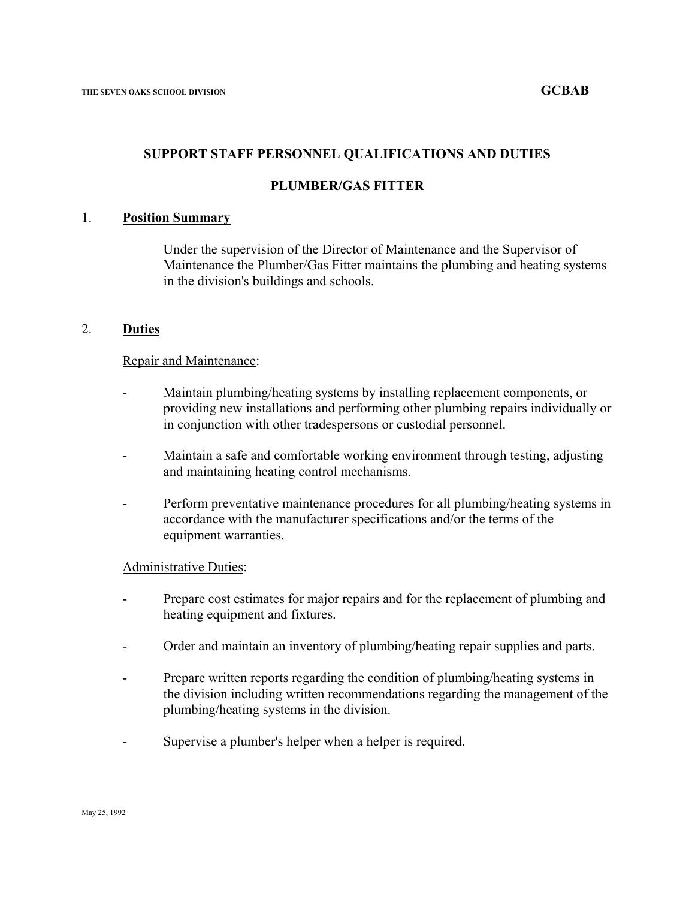## **SUPPORT STAFF PERSONNEL QUALIFICATIONS AND DUTIES**

## **PLUMBER/GAS FITTER**

#### 1. **Position Summary**

Under the supervision of the Director of Maintenance and the Supervisor of Maintenance the Plumber/Gas Fitter maintains the plumbing and heating systems in the division's buildings and schools.

#### 2. **Duties**

#### Repair and Maintenance:

- Maintain plumbing/heating systems by installing replacement components, or providing new installations and performing other plumbing repairs individually or in conjunction with other tradespersons or custodial personnel.
- Maintain a safe and comfortable working environment through testing, adjusting and maintaining heating control mechanisms.
- Perform preventative maintenance procedures for all plumbing/heating systems in accordance with the manufacturer specifications and/or the terms of the equipment warranties.

#### Administrative Duties:

- Prepare cost estimates for major repairs and for the replacement of plumbing and heating equipment and fixtures.
- Order and maintain an inventory of plumbing/heating repair supplies and parts.
- Prepare written reports regarding the condition of plumbing/heating systems in the division including written recommendations regarding the management of the plumbing/heating systems in the division.
- Supervise a plumber's helper when a helper is required.